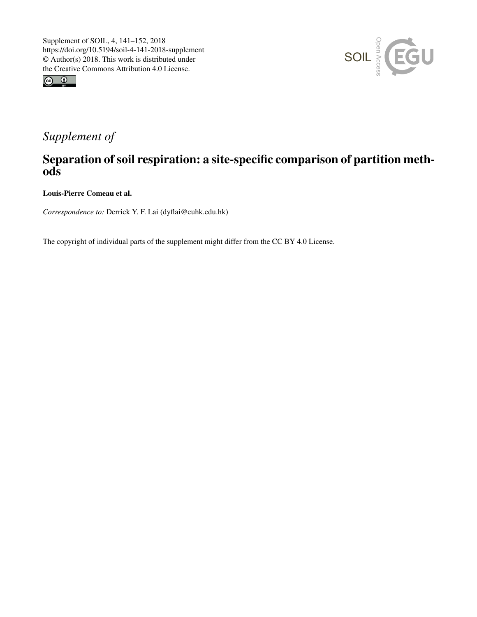



## *Supplement of*

## Separation of soil respiration: a site-specific comparison of partition methods

Louis-Pierre Comeau et al.

*Correspondence to:* Derrick Y. F. Lai (dyflai@cuhk.edu.hk)

The copyright of individual parts of the supplement might differ from the CC BY 4.0 License.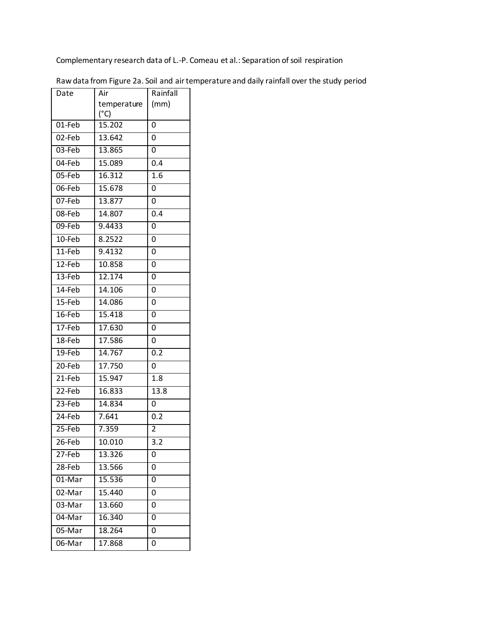Complementary research data of L.-P. Comeau et al.: Separation of soil respiration

| Date      | Air         | Rainfall       |  |
|-----------|-------------|----------------|--|
|           | temperature | (mm)           |  |
|           | (°C)        |                |  |
| 01-Feb    | 15.202      | 0              |  |
| $02$ -Feb | 13.642      | 0              |  |
| 03-Feb    | 13.865      | 0              |  |
| 04-Feb    | 15.089      | 0.4            |  |
| 05-Feb    | 16.312      | 1.6            |  |
| 06-Feb    | 15.678      | 0              |  |
| 07-Feb    | 13.877      | 0              |  |
| 08-Feb    | 14.807      | 0.4            |  |
| 09-Feb    | 9,4433      | $\overline{0}$ |  |
| 10-Feb    | 8.2522      | 0              |  |
| 11-Feb    | 9.4132      | 0              |  |
| 12-Feb    | 10.858      | 0              |  |
| $13$ -Feb | 12.174      | 0              |  |
| 14-Feb    | 14.106      | 0              |  |
| 15-Feb    | 14.086      | 0              |  |
| $16$ -Feb | 15.418      | 0              |  |
| 17-Feb    | 17.630      | 0              |  |
| 18-Feb    | 17.586      | 0              |  |
| 19-Feb    | 14.767      | 0.2            |  |
| 20-Feb    | 17.750      | 0              |  |
| 21-Feb    | 15.947      | 1.8            |  |
| 22-Feb    | 16.833      | 13.8           |  |
| 23-Feb    | 14.834      | 0              |  |
| 24-Feb    | 7.641       | 0.2            |  |
| $25$ -Feb | 7.359       | $\overline{2}$ |  |
| 26-Feb    | 10.010      | 3.2            |  |
| 27-Feb    | 13.326      | 0              |  |
| 28-Feb    | 13.566      | 0              |  |
| 01-Mar    | 15.536      | 0              |  |
| 02-Mar    | 15.440      | 0              |  |
| 03-Mar    | 13.660      | 0              |  |
| 04-Mar    | 16.340      | 0              |  |
| 05-Mar    | 18.264      | 0              |  |
| 06-Mar    | 17.868      | 0              |  |

Raw data from Figure 2a. Soil and air temperature and daily rainfall over the study period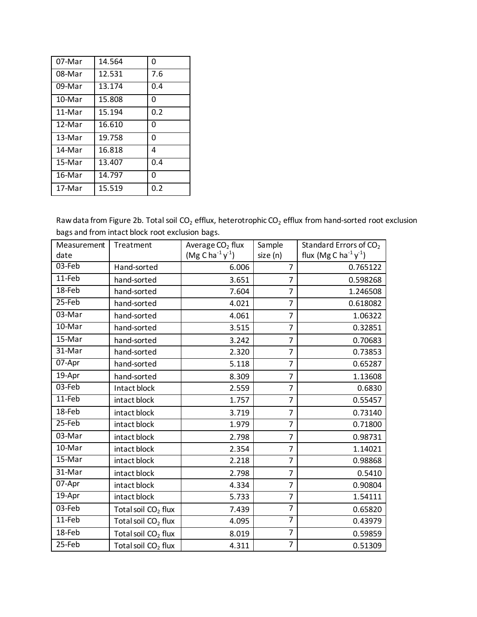| 07-Mar   | 14.564 | 0   |
|----------|--------|-----|
| 08-Mar   | 12.531 | 7.6 |
| 09-Mar   | 13.174 | 0.4 |
| $10-Mar$ | 15.808 | 0   |
| 11-Mar   | 15.194 | 0.2 |
| 12-Mar   | 16.610 | 0   |
| 13-Mar   | 19.758 | 0   |
| 14-Mar   | 16.818 | 4   |
| 15-Mar   | 13.407 | 0.4 |
| 16-Mar   | 14.797 | O   |
| 17-Mar   | 15.519 | 0.2 |

Raw data from Figure 2b. Total soil  $CO<sub>2</sub>$  efflux, heterotrophic  $CO<sub>2</sub>$  efflux from hand-sorted root exclusion bags and from intact block root exclusion bags.

| Measurement | Treatment                       | Average CO <sub>2</sub> flux | Sample         | Standard Errors of CO <sub>2</sub>              |
|-------------|---------------------------------|------------------------------|----------------|-------------------------------------------------|
| date        |                                 | $(Mg C ha^{-1}y^{-1})$       | size (n)       | flux (Mg C ha <sup>-1</sup> $y$ <sup>-1</sup> ) |
| 03-Feb      | Hand-sorted                     | 6.006                        | $\overline{7}$ | 0.765122                                        |
| 11-Feb      | hand-sorted                     | 3.651                        | $\overline{7}$ | 0.598268                                        |
| 18-Feb      | hand-sorted                     | 7.604                        | 7              | 1.246508                                        |
| 25-Feb      | hand-sorted                     | 4.021                        | 7              | 0.618082                                        |
| 03-Mar      | hand-sorted                     | 4.061                        | $\overline{7}$ | 1.06322                                         |
| 10-Mar      | hand-sorted                     | 3.515                        | $\overline{7}$ | 0.32851                                         |
| 15-Mar      | hand-sorted                     | 3.242                        | $\overline{7}$ | 0.70683                                         |
| 31-Mar      | hand-sorted                     | 2.320                        | $\overline{7}$ | 0.73853                                         |
| 07-Apr      | hand-sorted                     | 5.118                        | $\overline{7}$ | 0.65287                                         |
| 19-Apr      | hand-sorted                     | 8.309                        | $\overline{7}$ | 1.13608                                         |
| 03-Feb      | Intact block                    | 2.559                        | $\overline{7}$ | 0.6830                                          |
| $11-Feb$    | intact block                    | 1.757                        | $\overline{7}$ | 0.55457                                         |
| 18-Feb      | intact block                    | 3.719                        | $\overline{7}$ | 0.73140                                         |
| 25-Feb      | intact block                    | 1.979                        | $\overline{7}$ | 0.71800                                         |
| 03-Mar      | intact block                    | 2.798                        | 7              | 0.98731                                         |
| 10-Mar      | intact block                    | 2.354                        | $\overline{7}$ | 1.14021                                         |
| 15-Mar      | intact block                    | 2.218                        | $\overline{7}$ | 0.98868                                         |
| 31-Mar      | intact block                    | 2.798                        | $\overline{7}$ | 0.5410                                          |
| 07-Apr      | intact block                    | 4.334                        | $\overline{7}$ | 0.90804                                         |
| 19-Apr      | intact block                    | 5.733                        | $\overline{7}$ | 1.54111                                         |
| 03-Feb      | Total soil CO <sub>2</sub> flux | 7.439                        | $\overline{7}$ | 0.65820                                         |
| $11-Feb$    | Total soil CO <sub>2</sub> flux | 4.095                        | 7              | 0.43979                                         |
| 18-Feb      | Total soil CO <sub>2</sub> flux | 8.019                        | $\overline{7}$ | 0.59859                                         |
| 25-Feb      | Total soil CO <sub>2</sub> flux | 4.311                        | 7              | 0.51309                                         |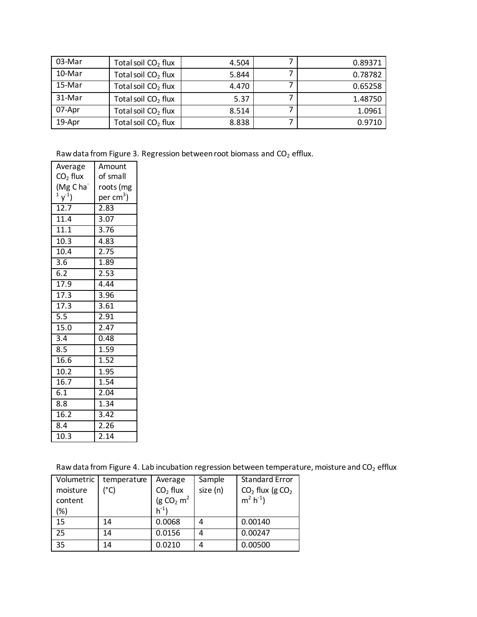| 03-Mar | Total soil $CO2$ flux           | 4.504 | 0.89371 |
|--------|---------------------------------|-------|---------|
| 10-Mar | Total soil $CO2$ flux           | 5.844 | 0.78782 |
| 15-Mar | Total soil CO <sub>2</sub> flux | 4.470 | 0.65258 |
| 31-Mar | Total soil $CO2$ flux           | 5.37  | 1.48750 |
| 07-Apr | Total soil CO <sub>2</sub> flux | 8.514 | 1.0961  |
| 19-Apr | Total soil CO <sub>2</sub> flux | 8.838 | 0.9710  |

Raw data from Figure 3. Regression between root biomass and  $CO<sub>2</sub>$  efflux.

| Average              | Amount                |  |  |
|----------------------|-----------------------|--|--|
| $CO2$ flux           | of small              |  |  |
| (Mg Cha <sup>-</sup> | roots (mg             |  |  |
| $(1 \, \gamma^1)$    | per cm <sup>3</sup> ) |  |  |
| 12.7                 | 2.83                  |  |  |
| 11.4                 | 3.07                  |  |  |
| 11.1                 | 3.76                  |  |  |
| 10.3                 | 4.83                  |  |  |
| 10.4                 | $\overline{2}.75$     |  |  |
| $\overline{3.6}$     | 1.89                  |  |  |
| 6.2                  | 2.53                  |  |  |
| 17.9                 | 4.44                  |  |  |
| 17.3                 | 3.96                  |  |  |
| 17.3                 | 3.61                  |  |  |
| 5.5                  | 2.91                  |  |  |
| 15.0                 | 2.47                  |  |  |
| $\overline{3.4}$     | 0.48                  |  |  |
| 8.5                  | 1.59                  |  |  |
| 16.6                 | 1.52                  |  |  |
| 10.2                 | 1.95                  |  |  |
| 16.7                 | $\overline{1.54}$     |  |  |
| 6.1                  | 2.04                  |  |  |
| 8.8                  | 1.34                  |  |  |
| 16.2                 | 3.42                  |  |  |
| 8.4                  | 2.26                  |  |  |
| $10.\overline{3}$    | $\overline{2.14}$     |  |  |

Raw data from Figure 4. Lab incubation regression between temperature, moisture and  $CO<sub>2</sub>$  efflux

| Volumetric | temperature   | Average                 | Sample   | <b>Standard Error</b> |
|------------|---------------|-------------------------|----------|-----------------------|
| moisture   | $(^{\circ}C)$ | $CO2$ flux              | size (n) | $CO2$ flux (g $CO2$   |
| content    |               | (g CO <sub>2</sub> $m2$ |          | $m^2 h^{-1}$          |
| (%)        |               | $h^{-1}$                |          |                       |
| 15         | 14            | 0.0068                  | 4        | 0.00140               |
| 25         | 14            | 0.0156                  | 4        | 0.00247               |
| 35         | 14            | 0.0210                  |          | 0.00500               |